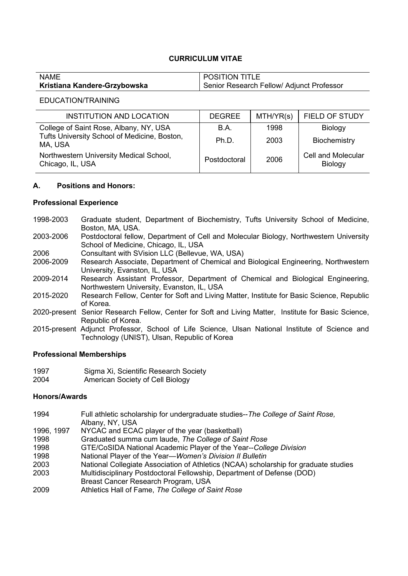# **CURRICULUM VITAE**

| <b>NAME</b>                  | <b>POSITION TITLE</b>                     |
|------------------------------|-------------------------------------------|
| Kristiana Kandere-Grzybowska | Senior Research Fellow/ Adjunct Professor |

### EDUCATION/TRAINING

| <b>INSTITUTION AND LOCATION</b>                             | <b>DEGREE</b> | MTH/YR(s) | <b>FIELD OF STUDY</b>                |
|-------------------------------------------------------------|---------------|-----------|--------------------------------------|
| College of Saint Rose, Albany, NY, USA                      | B.A.          | 1998      | Biology                              |
| Tufts University School of Medicine, Boston,<br>MA, USA     | Ph.D.         | 2003      | Biochemistry                         |
| Northwestern University Medical School,<br>Chicago, IL, USA | Postdoctoral  | 2006      | <b>Cell and Molecular</b><br>Biology |

## **A. Positions and Honors:**

## **Professional Experience**

- 1998-2003 Graduate student, Department of Biochemistry, Tufts University School of Medicine, Boston, MA, USA.
- 2003-2006 Postdoctoral fellow, Department of Cell and Molecular Biology, Northwestern University School of Medicine, Chicago, IL, USA
- 2006 Consultant with SVision LLC (Bellevue, WA, USA)
- 2006-2009 Research Associate, Department of Chemical and Biological Engineering, Northwestern University, Evanston, IL, USA
- 2009-2014 Research Assistant Professor, Department of Chemical and Biological Engineering, Northwestern University, Evanston, IL, USA
- 2015-2020 Research Fellow, Center for Soft and Living Matter, Institute for Basic Science, Republic of Korea.
- 2020-present Senior Research Fellow, Center for Soft and Living Matter, Institute for Basic Science, Republic of Korea.
- 2015-present Adjunct Professor, School of Life Science, Ulsan National Institute of Science and Technology (UNIST), Ulsan, Republic of Korea

### **Professional Memberships**

1997 Sigma Xi, Scientific Research Society 2004 American Society of Cell Biology

### **Honors/Awards**

- 1994 Full athletic scholarship for undergraduate studies--*The College of Saint Rose,* Albany, NY, USA
- 1996, 1997 NYCAC and ECAC player of the year (basketball)
- 1998 Graduated summa cum laude, *The College of Saint Rose*
- 1998 GTE/CoSIDA National Academic Player of the Year--*College Division*
- 1998 National Player of the Year—*Women's Division II Bulletin*
- 2003 National Collegiate Association of Athletics (NCAA) scholarship for graduate studies 2003 Multidisciplinary Postdoctoral Fellowship, Department of Defense (DOD)
- Breast Cancer Research Program, USA
- 2009 Athletics Hall of Fame, *The College of Saint Rose*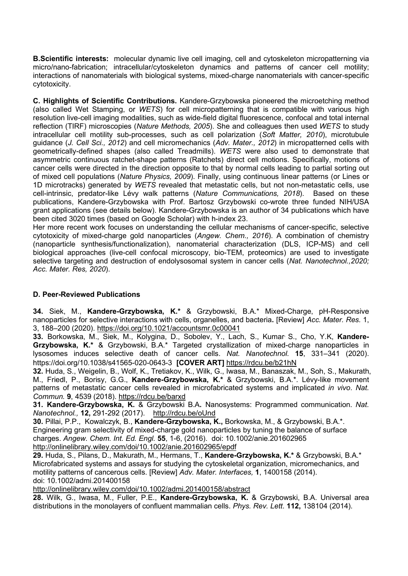**B.Scientific interests:** molecular dynamic live cell imaging, cell and cytoskeleton micropatterning via micro/nano-fabrication; intracellular/cytoskeleton dynamics and patterns of cancer cell motility; interactions of nanomaterials with biological systems, mixed-charge nanomaterials with cancer-specific cytotoxicity.

**C. Highlights of Scientific Contributions.** Kandere-Grzybowska pioneered the microetching method (also called Wet Stamping, or *WETS*) for cell micropatterning that is compatible with various high resolution live-cell imaging modalities, such as wide-field digital fluorescence, confocal and total internal reflection (TIRF) microscopies (*Nature Methods, 2005*). She and colleagues then used *WETS* to study intracellular cell motility sub-processes, such as cell polarization (*Soft Matter, 2010*), microtubule guidance (*J. Cell Sci., 2012*) and cell micromechanics (*Adv. Mater., 2012*) in micropatterned cells with geometrically-defined shapes (also called Treadmills). *WETS* were also used to demonstrate that asymmetric continuous ratchet-shape patterns (Ratchets) direct cell motions. Specifically, motions of cancer cells were directed in the direction opposite to that by normal cells leading to partial sorting out of mixed cell populations (*Nature Physics, 2009*). Finally, using continuous linear patterns (or Lines or 1D microtracks) generated by *WETS* revealed that metastatic cells, but not non-metastatic cells, use cell-intrinsic, predator-like Lévy walk patterns (*Nature Communications, 2018*). Based on these publications, Kandere-Grzybowska with Prof. Bartosz Grzybowski co-wrote three funded NIH/USA grant applications (see details below). Kandere-Grzybowska is an author of 34 publications which have been cited 3020 times (based on Google Scholar) with h-index 23.<br>Her more recent work focuses on understanding the cellular mechanisms of cancer-specific, selective

cytotoxicity of mixed-charge gold nanoparticles (*Angew. Chem., 2016*). A combination of chemistry (nanoparticle synthesis/functionalization), nanomaterial characterization (DLS, ICP-MS) and cell biological approaches (live-cell confocal microscopy, bio-TEM, proteomics) are used to investigate selective targeting and destruction of endolysosomal system in cancer cells (*Nat. Nanotechnol.,2020; Acc. Mater. Res, 2020*).

# **D. Peer-Reviewed Publications**

**34.** Siek, M., **Kandere-Grzybowska, K.\*** & Grzybowski, B.A.\* Mixed-Charge, pH-Responsive nanoparticles for selective interactions with cells, organelles, and bacteria**.** [Review] *Acc. Mater. Res.* 1, 3, 188–200 (2020). https://doi.org/10.1021/accountsmr.0c00041

**33.** Borkowska, M., Siek, M., Kolygina, D., Sobolev, Y., Lach, S., Kumar, S., Cho, Y.K, **Kandere- Grzybowska, K.\*** & Grzybowski, B.A.\* Targeted crystallization of mixed-charge nanoparticles in lysosomes induces selective death of cancer cells. *Nat. Nanotechnol.* **15**, 331–341 (2020). https://doi.org/10.1038/s41565-020-0643-3 **[COVER ART]** https://rdcu.be/b21hN

**32.** Huda, S., Weigelin, B., Wolf, K., Tretiakov, K., Wilk, G., Iwasa, M., Banaszak, M., Soh, S., Makurath, M., Friedl, P., Borisy, G.G., **Kandere-Grzybowska, K.\*** & Grzybowski, B.A.\*. Lévy-like movement patterns of metastatic cancer cells revealed in microfabricated systems and implicated *in vivo*. *Nat. Commun.* **9**, 4539 (2018). https://rdcu.be/barxd

**31. Kandere-Grzybowska, K.** & Grzybowski B.A**.** Nanosystems: Programmed communication. *Nat. Nanotechnol.,* **12,** 291-292 (2017). http://rdcu.be/oUnd

**30.** Pillai, P.P., Kowalczyk, B., **Kandere-Grzybowska, K.,** Borkowska, M., & Grzybowski, B.A.\*. Engineering gram selectivity of mixed-charge gold nanoparticles by tuning the balance of surface charges. *Angew. Chem. Int. Ed. Engl.* **55**, 1-6, (2016). doi: 10.1002/anie.201602965 http://onlinelibrary.wiley.com/doi/10.1002/anie.201602965/epdf

**29.** Huda, S., Pilans, D., Makurath, M., Hermans, T., **Kandere-Grzybowska, K.\*** & Grzybowski, B.A.\* Microfabricated systems and assays for studying the cytoskeletal organization, micromechanics, and motility patterns of cancerous cells. [Review] *Adv. Mater. Interfaces,* **1**, 1400158 (2014). doi: 10.1002/admi.201400158

http://onlinelibrary.wiley.com/doi/10.1002/admi.201400158/abstract

**28.** Wilk, G., Iwasa, M., Fuller, P.E., **Kandere-Grzybowska, K.** & Grzybowski, B.A. Universal area distributions in the monolayers of confluent mammalian cells. *Phys. Rev. Lett*. **112,** 138104 (2014).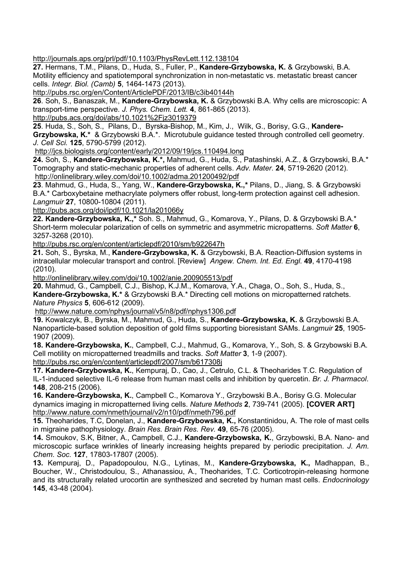http://journals.aps.org/prl/pdf/10.1103/PhysRevLett.112.138104

**27.** Hermans, T.M., Pilans, D., Huda, S., Fuller, P., **Kandere-Grzybowska, K.** & Grzybowski, B.A. Motility efficiency and spatiotemporal synchronization in non-metastatic vs. metastatic breast cancer cells. *Integr. Biol. (Camb)* **<sup>5</sup>**, 1464-1473 (2013). http://pubs.rsc.org/en/Content/ArticlePDF/2013/IB/c3ib40144h

**26**. Soh, S., Banaszak, M., **Kandere-Grzybowska, K.** & Grzybowski B.A. Why cells are microscopic: A transport-time perspective. *J. Phys. Chem. Lett.* **<sup>4</sup>**, 861-865 (2013). http://pubs.acs.org/doi/abs/10.1021%2Fjz3019379

**25**. Huda, S., Soh, S., Pilans, D., Byrska-Bishop, M., Kim, J., Wilk, G., Borisy, G.G., **Kandere- Grzybowska, K.\*** & Grzybowski B.A.\*. Microtubule guidance tested through controlled cell geometry. *J. Cell Sci.* **125**, 5790-5799 (2012).

http://jcs.biologists.org/content/early/2012/09/19/jcs.110494.long

**24.** Soh, S., **Kandere-Grzybowska, K.\*,** Mahmud, G., Huda, S., Patashinski, A.Z., & Grzybowski, B.A.\* Tomography and static-mechanic properties of adherent cells. *Adv. Mater*. **24**, 5719-2620 (2012). http://onlinelibrary.wiley.com/doi/10.1002/adma.201200492/pdf

**23**. Mahmud, G., Huda, S., Yang, W., **Kandere-Grzybowska, K.,\*** Pilans, D., Jiang, S. & Grzybowski B.A.\* Carboxybetaine methacrylate polymers offer robust, long-term protection against cell adhesion. *Langmuir* **27**, 10800-10804 (2011).

http://pubs.acs.org/doi/ipdf/10.1021/la201066y

**22. Kandere-Grzybowska, K.,\*** Soh. S., Mahmud, G., Komarova, Y., Pilans, D. & Grzybowski B.A.\* Short-term molecular polarization of cells on symmetric and asymmetric micropatterns. *Soft Matter* **6**, 3257-3268 (2010). http://pubs.rsc.org/en/content/articlepdf/2010/sm/b922647h

**21.** Soh, S., Byrska, M., **Kandere-Grzybowska, K.** & Grzybowski, B.A. Reaction-Diffusion systems in intracellular molecular transport and control. [Review] *Angew. Chem. Int. Ed. Engl*. **49**, 4170-4198 (2010). http://onlinelibrary.wiley.com/doi/10.1002/anie.200905513/pdf

**20.** Mahmud, G., Campbell, C.J., Bishop, K.J.M., Komarova, Y.A., Chaga, O., Soh, S., Huda, S., **Kandere-Grzybowska, K.\*** & Grzybowski B.A.\* Directing cell motions on micropatterned ratchets. *Nature Physics* **<sup>5</sup>**, 606-612 (2009). http://www.nature.com/nphys/journal/v5/n8/pdf/nphys1306.pdf

**19.** Kowalczyk, B., Byrska, M., Mahmud, G., Huda, S., **Kandere-Grzybowska, K.** & Grzybowski B.A. Nanoparticle-based solution deposition of gold films supporting bioresistant SAMs. *Langmuir* **25**, 1905- 1907 (2009).

**18. Kandere-Grzybowska, K.**, Campbell, C.J., Mahmud, G., Komarova, Y., Soh, S. & Grzybowski B.A. Cell motility on micropatterned treadmills and tracks. *Soft Matter* **<sup>3</sup>**, 1-9 (2007). http://pubs.rsc.org/en/content/articlepdf/2007/sm/b617308j

**17. Kandere-Grzybowska, K.**, Kempuraj, D., Cao, J., Cetrulo, C.L. & Theoharides T.C. Regulation of IL-1-induced selective IL-6 release from human mast cells and inhibition by quercetin. *Br. J. Pharmacol*. **148**, 208-215 (2006).

**16. Kandere-Grzybowska, K.**, Campbell C., Komarova Y., Grzybowski B.A., Borisy G.G. Molecular dynamics imaging in micropatterned living cells. *Nature Methods* **2**, 739-741 (2005). **[COVER ART]** http://www.nature.com/nmeth/journal/v2/n10/pdf/nmeth796.pdf

**15.** Theoharides, T.C, Donelan, J., **Kandere-Grzybowska, K.,** Konstantinidou, A. The role of mast cells in migraine pathophysiology. *Brain Res. Brain Res. Rev.* **49**, 65-76 (2005).

**14.** Smoukov, S.K, Bitner, A., Campbell, C.J., **Kandere-Grzybowska, K.**, Grzybowski, B.A. Nano- and microscopic surface wrinkles of linearly increasing heights prepared by periodic precipitation. *J. Am. Chem. Soc.* **127**, 17803-17807 (2005).

13. Kempuraj, D., Papadopoulou, N.G., Lytinas, M., Kandere-Grzybowska, K., Madhappan, B., Boucher, W., Christodoulou, S., Athanassiou, A., Theoharides, T.C. Corticotropin-releasing hormone and its structurally related urocortin are synthesized and secreted by human mast cells. *Endocrinology* **145**, 43-48 (2004).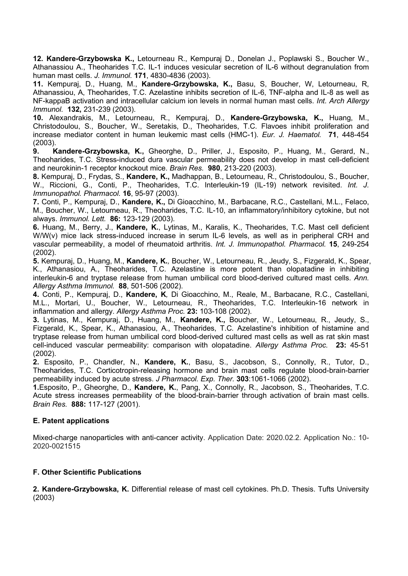**12. Kandere-Grzybowska K.,** Letourneau R., Kempuraj D., Donelan J., Poplawski S., Boucher W., Athanassiou A., Theoharides T.C. IL-1 induces vesicular secretion of IL-6 without degranulation from human mast cells. *J. Immunol.* **171**, 4830-4836 (2003).

**11.** Kempuraj, D., Huang, M., **Kandere-Grzybowska, K.,** Basu, S, Boucher, W, Letourneau, R, Athanassiou, A, Theoharides, T.C. Azelastine inhibits secretion of IL-6, TNF-alpha and IL-8 as well as NF-kappaB activation and intracellular calcium ion levels in normal human mast cells. *Int. Arch Allergy Immunol.* **132,** 231-239 (2003).

**10.** Alexandrakis, M., Letourneau, R., Kempuraj, D., **Kandere-Grzybowska, K.,** Huang, M., Christodoulou, S., Boucher, W., Seretakis, D., Theoharides, T.C. Flavoes inhibit proliferation and increase mediator content in human leukemic mast cells (HMC-1). *Eur. J. Haematol.* **71**, 448-454 (2003).

**9. Kandere-Grzybowska, K.,** Gheorghe, D., Priller, J., Esposito, P., Huang, M., Gerard, N., Theoharides, T.C. Stress-induced dura vascular permeability does not develop in mast cell-deficient and neurokinin-1 receptor knockout mice. *Brain Res.* **980**, 213-220 (2003).

**8.** Kempuraj, D., Frydas, S., **Kandere, K.,** Madhappan, B., Letourneau, R., Christodoulou, S., Boucher, W., Riccioni, G., Conti, P., Theoharides, T.C. Interleukin-19 (IL-19) network revisited. *Int. J. Immunopathol. Pharmacol.* **16**, 95-97 (2003).

**7.** Conti, P., Kempuraj, D., **Kandere, K.,** Di Gioacchino, M., Barbacane, R.C., Castellani, M.L., Felaco, M., Boucher, W., Letourneau, R., Theoharides, T.C. IL-10, an inflammatory/inhibitory cytokine, but not always. *Immunol. Lett.* **86:** 123-129 (2003).

**6.** Huang, M., Berry, J., **Kandere, K.**, Lytinas, M., Karalis, K., Theoharides, T.C. Mast cell deficient W/W(v) mice lack stress-induced increase in serum IL-6 levels, as well as in peripheral CRH and vascular permeability, a model of rheumatoid arthritis. *Int. J. Immunopathol. Pharmacol.* **15**, 249-254 (2002).

**5.** Kempuraj, D., Huang, M., **Kandere, K.***,* Boucher, W., Letourneau, R., Jeudy, S., Fizgerald, K., Spear, K., Athanasiou, A., Theoharides, T.C. Azelastine is more potent than olopatadine in inhibiting interleukin-6 and tryptase release from human umbilical cord blood-derived cultured mast cells. *Ann. Allergy Asthma Immunol.* **88**, 501-506 (2002).

**4.** Conti, P., Kempuraj, D., **Kandere, K***,* Di Gioacchino, M., Reale, M., Barbacane, R.C., Castellani, M.L., Mortari, U., Boucher, W., Letourneau, R., Theoharides, T.C. Interleukin-16 network in inflammation and allergy. *Allergy Asthma Proc.* **23:** 103-108 (2002).

3. Lytinas, M., Kempuraj, D., Huang, M., Kandere, K., Boucher, W., Letourneau, R., Jeudy, S., Fizgerald, K., Spear, K., Athanasiou, A., Theoharides, T.C. Azelastine's inhibition of histamine and tryptase release from human umbilical cord blood-derived cultured mast cells as well as rat skin mast cell-induced vascular permeability: comparison with olopatadine. *Allergy Asthma Proc.* **23:** 45-51 (2002).

**2.** Esposito, P., Chandler, N., **Kandere, K.**, Basu, S., Jacobson, S., Connolly, R., Tutor, D., Theoharides, T.C. Corticotropin-releasing hormone and brain mast cells regulate blood-brain-barrier permeability induced by acute stress. *J Pharmacol. Exp. Ther.* **303**:1061-1066 (2002).

**1.**Esposito, P., Gheorghe, D., **Kandere, K.**, Pang, X., Connolly, R., Jacobson, S., Theoharides, T.C. Acute stress increases permeability of the blood-brain-barrier through activation of brain mast cells. *Brain Res.* **888:** 117-127 (2001).

# **E. Patent applications**

Mixed-charge nanoparticles with anti-cancer activity. Application Date: 2020.02.2. Application No.: 10- 2020-0021515

# **F. Other Scientific Publications**

**2. Kandere-Grzybowska, K.** Differential release of mast cell cytokines. Ph.D. Thesis. Tufts University (2003)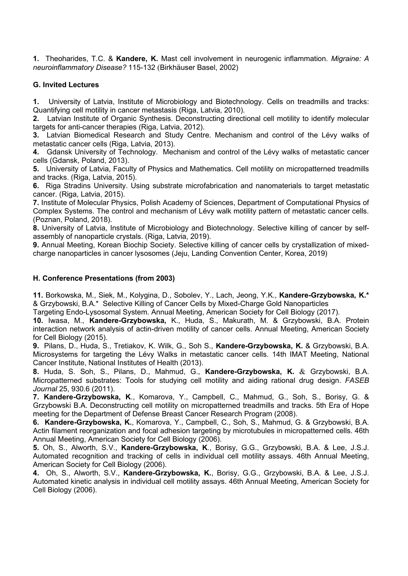**1.** Theoharides, T.C. & **Kandere, K.** Mast cell involvement in neurogenic inflammation. *Migraine: A neuroinflammatory Disease?* 115-132 (Birkhäuser Basel, 2002)

## **G. Invited Lectures**

**1.** University of Latvia, Institute of Microbiology and Biotechnology. Cells on treadmills and tracks: Quantifying cell motility in cancer metastasis (Riga, Latvia, 2010).

**2.** Latvian Institute of Organic Synthesis. Deconstructing directional cell motility to identify molecular targets for anti-cancer therapies (Riga, Latvia, 2012).

**3.** Latvian Biomedical Research and Study Centre. Mechanism and control of the Lévy walks of metastatic cancer cells (Riga, Latvia, 2013).

**4.** Gdansk University of Technology. Mechanism and control of the Lévy walks of metastatic cancer cells (Gdansk, Poland, 2013).

**5.** University of Latvia, Faculty of Physics and Mathematics. Cell motility on micropatterned treadmills and tracks. (Riga, Latvia, 2015).

**6.** Riga Stradins University. Using substrate microfabrication and nanomaterials to target metastatic cancer. (Riga, Latvia, 2015).

**7.** Institute of Molecular Physics, Polish Academy of Sciences, Department of Computational Physics of Complex Systems. The control and mechanism of Lévy walk motility pattern of metastatic cancer cells. (Poznan, Poland, 2018).

**8.** University of Latvia, Institute of Microbiology and Biotechnology. Selective killing of cancer by self assembly of nanoparticle crystals. (Riga, Latvia, 2019).

**9.** Annual Meeting, Korean Biochip Society. Selective killing of cancer cells by crystallization of mixed charge nanoparticles in cancer lysosomes (Jeju, Landing Convention Center, Korea, 2019)

## **H. Conference Presentations (from 2003)**

**11.** Borkowska, M., Siek, M., Kolygina, D., Sobolev, Y., Lach, Jeong, Y.K., **Kandere-Grzybowska, K.\***  & Grzybowski, B.A.\* Selective Killing of Cancer Cells by Mixed-Charge Gold Nanoparticles

Targeting Endo-Lysosomal System. Annual Meeting, American Society for Cell Biology (2017).

**10.** Iwasa, M., **Kandere-Grzybowska,** K., Huda, S., Makurath, M. & Grzybowski, B.A. Protein interaction network analysis of actin-driven motility of cancer cells. Annual Meeting, American Society for Cell Biology (2015).

**9.** Pilans, D., Huda, S., Tretiakov, K. Wilk, G., Soh S., **Kandere-Grzybowska, K.** & Grzybowski, B.A. Microsystems for targeting the Lévy Walks in metastatic cancer cells. 14th IMAT Meeting, National Cancer Institute, National Institutes of Health (2013).

**8.** Huda, S. Soh, S., Pilans, D., Mahmud, G., **Kandere-Grzybowska, K.** & Grzybowski, B.A. Micropatterned substrates: Tools for studying cell motility and aiding rational drug design. *FASEB Journal* 25, 930.6 (2011).

**7. Kandere-Grzybowska, K**., Komarova, Y., Campbell, C., Mahmud, G., Soh, S., Borisy, G. & Grzybowski B.A. Deconstructing cell motility on micropatterned treadmills and tracks. 5th Era of Hope meeting for the Department of Defense Breast Cancer Research Program (2008).

**6. Kandere-Grzybowska, K.**, Komarova, Y., Campbell, C., Soh, S., Mahmud, G. & Grzybowski, B.A. Actin filament reorganization and focal adhesion targeting by microtubules in micropatterned cells. 46th Annual Meeting, American Society for Cell Biology (2006).

**5.** Oh, S., Alworth, S.V., **Kandere-Grzybowska, K**., Borisy, G.G., Grzybowski, B.A. & Lee, J.S.J. Automated recognition and tracking of cells in individual cell motility assays. 46th Annual Meeting, American Society for Cell Biology (2006).

**4.** Oh, S., Alworth, S.V., **Kandere-Grzybowska, K.**, Borisy, G.G., Grzybowski, B.A. & Lee, J.S.J. Automated kinetic analysis in individual cell motility assays. 46th Annual Meeting, American Society for Cell Biology (2006).